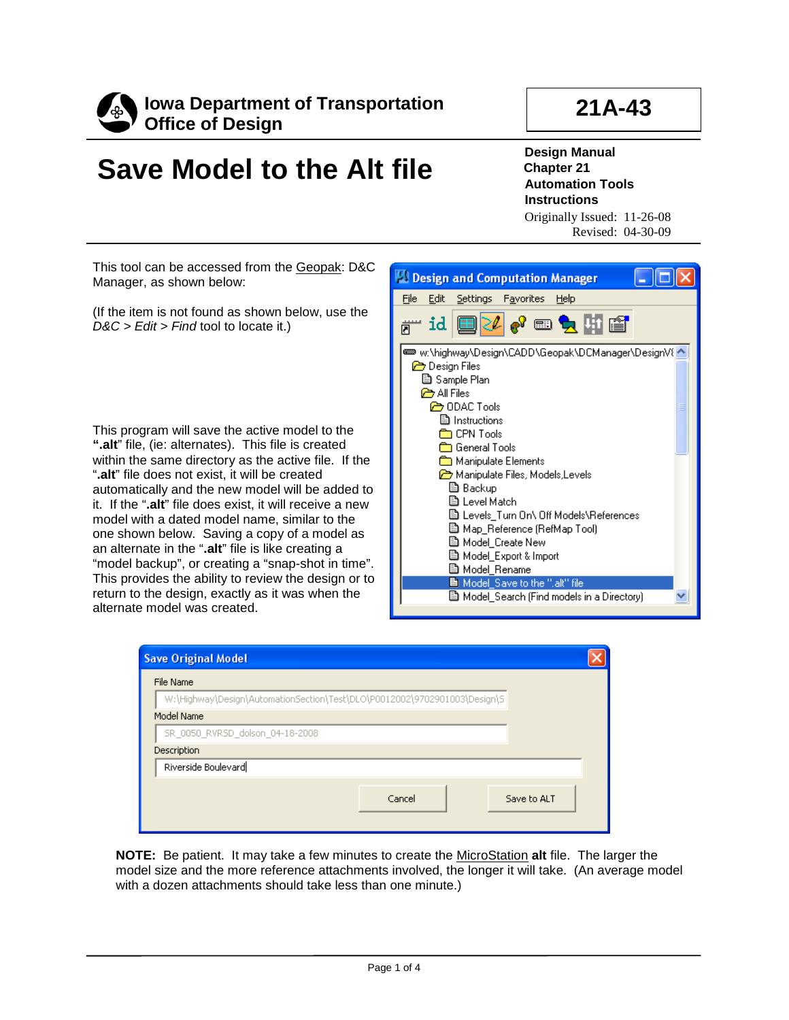

## **21A-43**

## **Save Model to the Alt file**

**Design Manual Chapter 21 Automation Tools Instructions** Originally Issued: 11-26-08

Revised: 04-30-09

This tool can be accessed from the Geopak: D&C Manager, as shown below:

(If the item is not found as shown below, use the *D&C > Edit > Find* tool to locate it.)

This program will save the active model to the **".alt**" file, (ie: alternates). This file is created within the same directory as the active file. If the "**.alt**" file does not exist, it will be created automatically and the new model will be added to it. If the "**.alt**" file does exist, it will receive a new model with a dated model name, similar to the one shown below. Saving a copy of a model as an alternate in the "**.alt**" file is like creating a "model backup", or creating a "snap-shot in time". This provides the ability to review the design or to return to the design, exactly as it was when the alternate model was created.



| <b>Save Original Model</b>                                                |        |             |
|---------------------------------------------------------------------------|--------|-------------|
| File Name                                                                 |        |             |
| W:\Highway\Design\AutomationSection\Test\DLO\P0012002\9702901003\Design\S |        |             |
| Model Name                                                                |        |             |
| SR_0050_RVRSD_dolson_04-18-2008                                           |        |             |
| Description                                                               |        |             |
| Riverside Boulevard                                                       |        |             |
|                                                                           | Cancel | Save to ALT |

**NOTE:** Be patient. It may take a few minutes to create the MicroStation **alt** file. The larger the model size and the more reference attachments involved, the longer it will take. (An average model with a dozen attachments should take less than one minute.)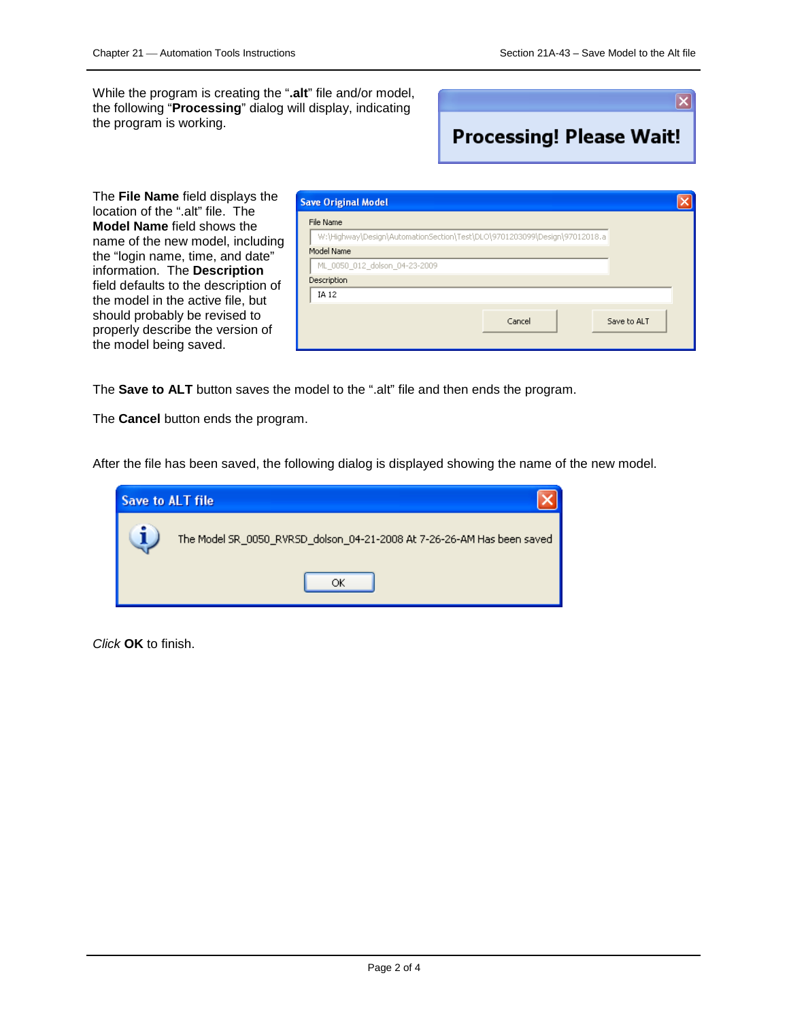While the program is creating the "**.alt**" file and/or model, the following "**Processing**" dialog will display, indicating the program is working.

 $\overline{\mathsf{x}}$ **Processing! Please Wait!** 

The **File Name** field displays the location of the ".alt" file. The **Model Name** field shows the name of the new model, including the "login name, time, and date" information. The **Description** field defaults to the description of the model in the active file, but should probably be revised to properly describe the version of the model being saved.

| <b>Save Original Model</b>                                                |  |
|---------------------------------------------------------------------------|--|
| File Name                                                                 |  |
| W:\Highway\Design\AutomationSection\Test\DLO\9701203099\Design\97012018.a |  |
| Model Name                                                                |  |
| ML_0050_012_dolson_04-23-2009                                             |  |
| Description                                                               |  |
| IA 12                                                                     |  |
| Cancel<br>Save to ALT                                                     |  |

The **Save to ALT** button saves the model to the ".alt" file and then ends the program.

The **Cancel** button ends the program.

After the file has been saved, the following dialog is displayed showing the name of the new model.

| <b>Save to ALT file</b> |                                                                        |  |  |
|-------------------------|------------------------------------------------------------------------|--|--|
|                         | The Model SR_0050_RVRSD_dolson_04-21-2008 At 7-26-26-AM Has been saved |  |  |
|                         | OК                                                                     |  |  |

*Click* **OK** to finish.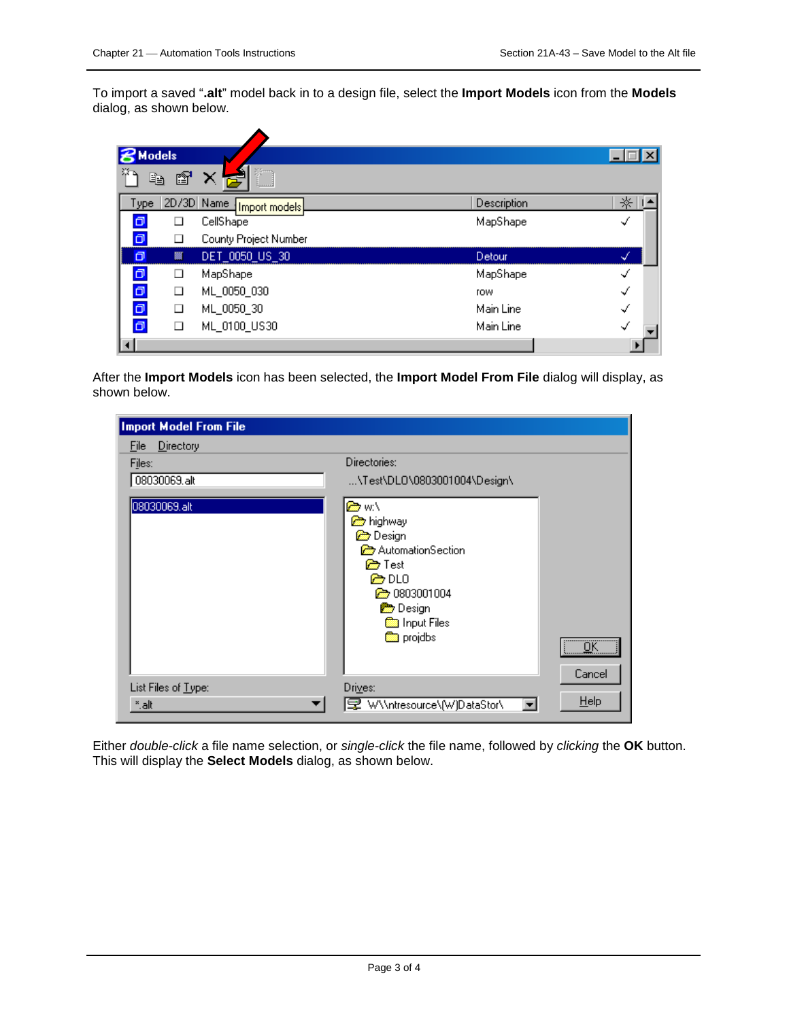To import a saved "**.alt**" model back in to a design file, select the **Import Models** icon from the **Models**  dialog, as shown below.

|      | <b>Models</b> |                             |             |   |
|------|---------------|-----------------------------|-------------|---|
|      | Ð<br>m        | نسسا                        |             |   |
| ype. |               | 2D/3D Name<br>Import models | Description | ⋇ |
| σ    | ⊔             | CellShape                   | MapShape    | √ |
| σ    |               | County Project Number       |             |   |
| σ    | 籘             | DET_0050_US_30              | Detour      | ↵ |
| σ    | ⊔             | MapShape                    | MapShape    | ✓ |
| σ    | ∟             | ML_0050_030                 | <b>TOW</b>  | √ |
| σ    | □             | ML_0050_30                  | Main Line   | √ |
| σ    | □             | ML_0100_US30                | Main Line   | √ |
|      |               |                             |             |   |

After the **Import Models** icon has been selected, the **Import Model From File** dialog will display, as shown below.

| <b>Import Model From File</b> |                                                                                                                                                                           |                               |
|-------------------------------|---------------------------------------------------------------------------------------------------------------------------------------------------------------------------|-------------------------------|
| Directory<br><b>File</b>      |                                                                                                                                                                           |                               |
| Files:                        | Directories:                                                                                                                                                              |                               |
| 08030069.alt                  | \Test\DL0\0803001004\Design\                                                                                                                                              |                               |
| 08030069.alt                  | erw∖<br><b>b</b> highway<br><b>P</b> Design<br>AutomationSection<br><b>P</b> Test<br>@ DLO<br>2 0803001004<br><b>Design</b><br><b>an</b> Input Files<br><b>on</b> projdbs | $\overline{\alpha}$<br>Cancel |
| List Files of Type:           | Drives:                                                                                                                                                                   | Help                          |
| *.alt                         | 早 W\\ntresource\[W]DataStor\<br>$\overline{\phantom{a}}$                                                                                                                  |                               |

Either *double-click* a file name selection, or *single-click* the file name, followed by *clicking* the **OK** button. This will display the **Select Models** dialog, as shown below.